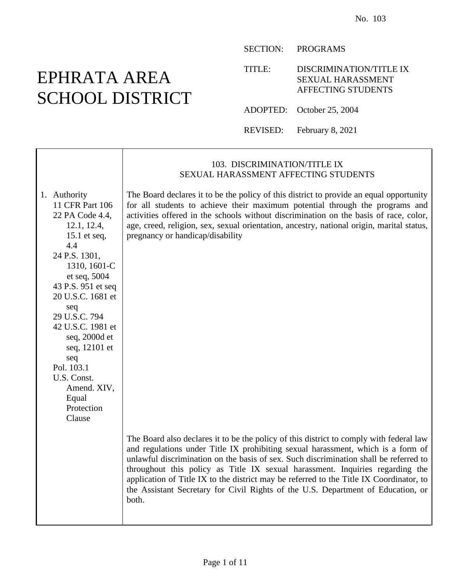# EPHRATA AREA SCHOOL DISTRICT

#### SECTION: PROGRAMS

TITLE: DISCRIMINATION/TITLE IX SEXUAL HARASSMENT AFFECTING STUDENTS

ADOPTED: October 25, 2004

REVISED: February 8, 2021

|                                                                                                                                                                                                                                                                                                                                                         | 103. DISCRIMINATION/TITLE IX<br>SEXUAL HARASSMENT AFFECTING STUDENTS                                                                                                                                                                                                                                                                                                                                                                                                                                                                          |
|---------------------------------------------------------------------------------------------------------------------------------------------------------------------------------------------------------------------------------------------------------------------------------------------------------------------------------------------------------|-----------------------------------------------------------------------------------------------------------------------------------------------------------------------------------------------------------------------------------------------------------------------------------------------------------------------------------------------------------------------------------------------------------------------------------------------------------------------------------------------------------------------------------------------|
| 1. Authority<br>11 CFR Part 106<br>22 PA Code 4.4,<br>12.1, 12.4,<br>15.1 et seq,<br>4.4<br>24 P.S. 1301,<br>1310, 1601-C<br>et seq, 5004<br>43 P.S. 951 et seq<br>20 U.S.C. 1681 et<br>seq<br>29 U.S.C. 794<br>42 U.S.C. 1981 et<br>seq, 2000d et<br>seq, 12101 et<br>seq<br>Pol. 103.1<br>U.S. Const.<br>Amend. XIV,<br>Equal<br>Protection<br>Clause | The Board declares it to be the policy of this district to provide an equal opportunity<br>for all students to achieve their maximum potential through the programs and<br>activities offered in the schools without discrimination on the basis of race, color,<br>age, creed, religion, sex, sexual orientation, ancestry, national origin, marital status,<br>pregnancy or handicap/disability                                                                                                                                             |
|                                                                                                                                                                                                                                                                                                                                                         | The Board also declares it to be the policy of this district to comply with federal law<br>and regulations under Title IX prohibiting sexual harassment, which is a form of<br>unlawful discrimination on the basis of sex. Such discrimination shall be referred to<br>throughout this policy as Title IX sexual harassment. Inquiries regarding the<br>application of Title IX to the district may be referred to the Title IX Coordinator, to<br>the Assistant Secretary for Civil Rights of the U.S. Department of Education, or<br>both. |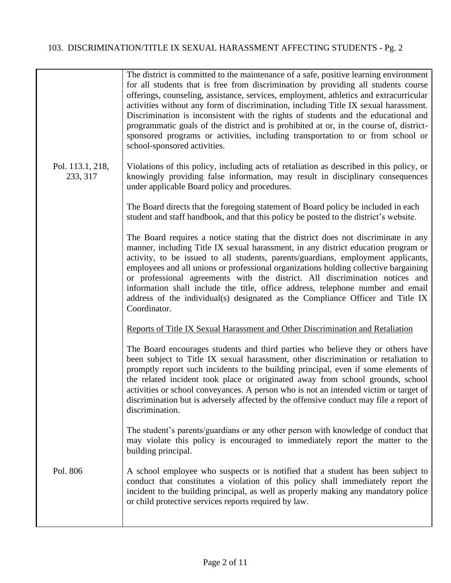|                              | The district is committed to the maintenance of a safe, positive learning environment<br>for all students that is free from discrimination by providing all students course<br>offerings, counseling, assistance, services, employment, athletics and extracurricular<br>activities without any form of discrimination, including Title IX sexual harassment.<br>Discrimination is inconsistent with the rights of students and the educational and<br>programmatic goals of the district and is prohibited at or, in the course of, district-<br>sponsored programs or activities, including transportation to or from school or<br>school-sponsored activities. |
|------------------------------|-------------------------------------------------------------------------------------------------------------------------------------------------------------------------------------------------------------------------------------------------------------------------------------------------------------------------------------------------------------------------------------------------------------------------------------------------------------------------------------------------------------------------------------------------------------------------------------------------------------------------------------------------------------------|
| Pol. 113.1, 218,<br>233, 317 | Violations of this policy, including acts of retaliation as described in this policy, or<br>knowingly providing false information, may result in disciplinary consequences<br>under applicable Board policy and procedures.                                                                                                                                                                                                                                                                                                                                                                                                                                       |
|                              | The Board directs that the foregoing statement of Board policy be included in each<br>student and staff handbook, and that this policy be posted to the district's website.                                                                                                                                                                                                                                                                                                                                                                                                                                                                                       |
|                              | The Board requires a notice stating that the district does not discriminate in any<br>manner, including Title IX sexual harassment, in any district education program or<br>activity, to be issued to all students, parents/guardians, employment applicants,<br>employees and all unions or professional organizations holding collective bargaining<br>or professional agreements with the district. All discrimination notices and<br>information shall include the title, office address, telephone number and email<br>address of the individual(s) designated as the Compliance Officer and Title IX<br>Coordinator.                                        |
|                              | Reports of Title IX Sexual Harassment and Other Discrimination and Retaliation                                                                                                                                                                                                                                                                                                                                                                                                                                                                                                                                                                                    |
|                              | The Board encourages students and third parties who believe they or others have<br>been subject to Title IX sexual harassment, other discrimination or retaliation to<br>promptly report such incidents to the building principal, even if some elements of<br>the related incident took place or originated away from school grounds, school<br>activities or school conveyances. A person who is not an intended victim or target of<br>discrimination but is adversely affected by the offensive conduct may file a report of<br>discrimination.                                                                                                               |
|                              | The student's parents/guardians or any other person with knowledge of conduct that<br>may violate this policy is encouraged to immediately report the matter to the<br>building principal.                                                                                                                                                                                                                                                                                                                                                                                                                                                                        |
| Pol. 806                     | A school employee who suspects or is notified that a student has been subject to<br>conduct that constitutes a violation of this policy shall immediately report the<br>incident to the building principal, as well as properly making any mandatory police<br>or child protective services reports required by law.                                                                                                                                                                                                                                                                                                                                              |
|                              |                                                                                                                                                                                                                                                                                                                                                                                                                                                                                                                                                                                                                                                                   |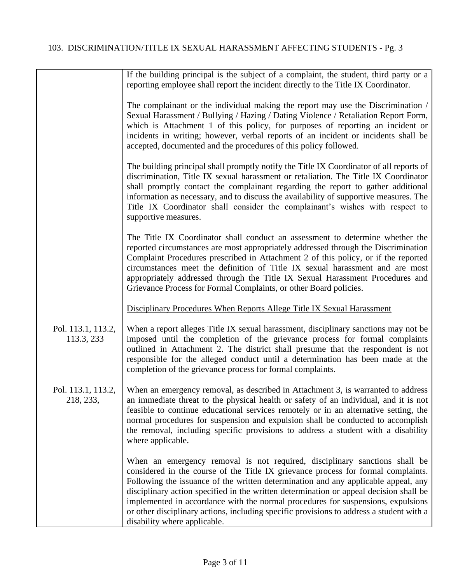|                                  | If the building principal is the subject of a complaint, the student, third party or a<br>reporting employee shall report the incident directly to the Title IX Coordinator.                                                                                                                                                                                                                                                                                                                                                                                    |
|----------------------------------|-----------------------------------------------------------------------------------------------------------------------------------------------------------------------------------------------------------------------------------------------------------------------------------------------------------------------------------------------------------------------------------------------------------------------------------------------------------------------------------------------------------------------------------------------------------------|
|                                  | The complainant or the individual making the report may use the Discrimination /<br>Sexual Harassment / Bullying / Hazing / Dating Violence / Retaliation Report Form,<br>which is Attachment 1 of this policy, for purposes of reporting an incident or<br>incidents in writing; however, verbal reports of an incident or incidents shall be<br>accepted, documented and the procedures of this policy followed.                                                                                                                                              |
|                                  | The building principal shall promptly notify the Title IX Coordinator of all reports of<br>discrimination, Title IX sexual harassment or retaliation. The Title IX Coordinator<br>shall promptly contact the complainant regarding the report to gather additional<br>information as necessary, and to discuss the availability of supportive measures. The<br>Title IX Coordinator shall consider the complainant's wishes with respect to<br>supportive measures.                                                                                             |
|                                  | The Title IX Coordinator shall conduct an assessment to determine whether the<br>reported circumstances are most appropriately addressed through the Discrimination<br>Complaint Procedures prescribed in Attachment 2 of this policy, or if the reported<br>circumstances meet the definition of Title IX sexual harassment and are most<br>appropriately addressed through the Title IX Sexual Harassment Procedures and<br>Grievance Process for Formal Complaints, or other Board policies.                                                                 |
|                                  | Disciplinary Procedures When Reports Allege Title IX Sexual Harassment                                                                                                                                                                                                                                                                                                                                                                                                                                                                                          |
| Pol. 113.1, 113.2,<br>113.3, 233 | When a report alleges Title IX sexual harassment, disciplinary sanctions may not be<br>imposed until the completion of the grievance process for formal complaints<br>outlined in Attachment 2. The district shall presume that the respondent is not<br>responsible for the alleged conduct until a determination has been made at the<br>completion of the grievance process for formal complaints.                                                                                                                                                           |
| Pol. 113.1, 113.2,<br>218, 233,  | When an emergency removal, as described in Attachment 3, is warranted to address<br>an immediate threat to the physical health or safety of an individual, and it is not<br>feasible to continue educational services remotely or in an alternative setting, the<br>normal procedures for suspension and expulsion shall be conducted to accomplish<br>the removal, including specific provisions to address a student with a disability<br>where applicable.                                                                                                   |
|                                  | When an emergency removal is not required, disciplinary sanctions shall be<br>considered in the course of the Title IX grievance process for formal complaints.<br>Following the issuance of the written determination and any applicable appeal, any<br>disciplinary action specified in the written determination or appeal decision shall be<br>implemented in accordance with the normal procedures for suspensions, expulsions<br>or other disciplinary actions, including specific provisions to address a student with a<br>disability where applicable. |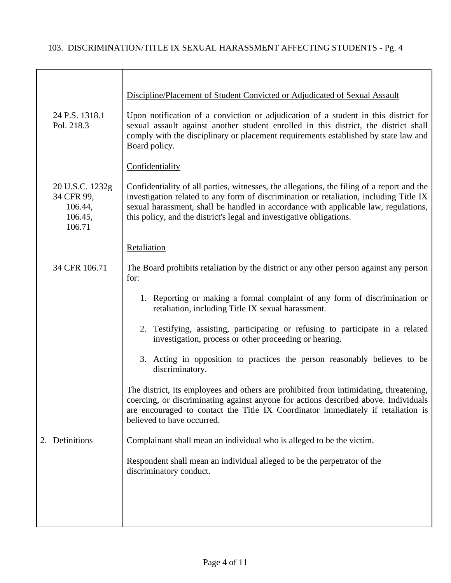|                                                               | Discipline/Placement of Student Convicted or Adjudicated of Sexual Assault                                                                                                                                                                                                                                                                          |
|---------------------------------------------------------------|-----------------------------------------------------------------------------------------------------------------------------------------------------------------------------------------------------------------------------------------------------------------------------------------------------------------------------------------------------|
| 24 P.S. 1318.1<br>Pol. 218.3                                  | Upon notification of a conviction or adjudication of a student in this district for<br>sexual assault against another student enrolled in this district, the district shall<br>comply with the disciplinary or placement requirements established by state law and<br>Board policy.                                                                 |
|                                                               | Confidentiality                                                                                                                                                                                                                                                                                                                                     |
| 20 U.S.C. 1232g<br>34 CFR 99,<br>106.44,<br>106.45,<br>106.71 | Confidentiality of all parties, witnesses, the allegations, the filing of a report and the<br>investigation related to any form of discrimination or retaliation, including Title IX<br>sexual harassment, shall be handled in accordance with applicable law, regulations,<br>this policy, and the district's legal and investigative obligations. |
|                                                               | Retaliation                                                                                                                                                                                                                                                                                                                                         |
| 34 CFR 106.71                                                 | The Board prohibits retaliation by the district or any other person against any person<br>for:                                                                                                                                                                                                                                                      |
|                                                               | 1. Reporting or making a formal complaint of any form of discrimination or<br>retaliation, including Title IX sexual harassment.                                                                                                                                                                                                                    |
|                                                               | 2. Testifying, assisting, participating or refusing to participate in a related<br>investigation, process or other proceeding or hearing.                                                                                                                                                                                                           |
|                                                               | 3. Acting in opposition to practices the person reasonably believes to be<br>discriminatory.                                                                                                                                                                                                                                                        |
|                                                               | The district, its employees and others are prohibited from intimidating, threatening,<br>coercing, or discriminating against anyone for actions described above. Individuals<br>are encouraged to contact the Title IX Coordinator immediately if retaliation is<br>believed to have occurred.                                                      |
| 2. Definitions                                                | Complainant shall mean an individual who is alleged to be the victim.                                                                                                                                                                                                                                                                               |
|                                                               | Respondent shall mean an individual alleged to be the perpetrator of the<br>discriminatory conduct.                                                                                                                                                                                                                                                 |
|                                                               |                                                                                                                                                                                                                                                                                                                                                     |
|                                                               |                                                                                                                                                                                                                                                                                                                                                     |
|                                                               |                                                                                                                                                                                                                                                                                                                                                     |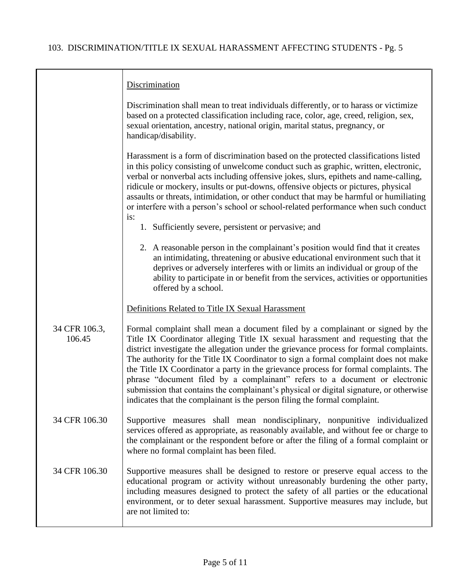|                         | Discrimination                                                                                                                                                                                                                                                                                                                                                                                                                                                                                                                                                                                                                                                                                    |
|-------------------------|---------------------------------------------------------------------------------------------------------------------------------------------------------------------------------------------------------------------------------------------------------------------------------------------------------------------------------------------------------------------------------------------------------------------------------------------------------------------------------------------------------------------------------------------------------------------------------------------------------------------------------------------------------------------------------------------------|
|                         | Discrimination shall mean to treat individuals differently, or to harass or victimize<br>based on a protected classification including race, color, age, creed, religion, sex,<br>sexual orientation, ancestry, national origin, marital status, pregnancy, or<br>handicap/disability.                                                                                                                                                                                                                                                                                                                                                                                                            |
|                         | Harassment is a form of discrimination based on the protected classifications listed<br>in this policy consisting of unwelcome conduct such as graphic, written, electronic,<br>verbal or nonverbal acts including offensive jokes, slurs, epithets and name-calling,<br>ridicule or mockery, insults or put-downs, offensive objects or pictures, physical<br>assaults or threats, intimidation, or other conduct that may be harmful or humiliating<br>or interfere with a person's school or school-related performance when such conduct<br>is:                                                                                                                                               |
|                         | 1. Sufficiently severe, persistent or pervasive; and                                                                                                                                                                                                                                                                                                                                                                                                                                                                                                                                                                                                                                              |
|                         | 2. A reasonable person in the complainant's position would find that it creates<br>an intimidating, threatening or abusive educational environment such that it<br>deprives or adversely interferes with or limits an individual or group of the<br>ability to participate in or benefit from the services, activities or opportunities<br>offered by a school.                                                                                                                                                                                                                                                                                                                                   |
|                         | Definitions Related to Title IX Sexual Harassment                                                                                                                                                                                                                                                                                                                                                                                                                                                                                                                                                                                                                                                 |
| 34 CFR 106.3,<br>106.45 | Formal complaint shall mean a document filed by a complainant or signed by the<br>Title IX Coordinator alleging Title IX sexual harassment and requesting that the<br>district investigate the allegation under the grievance process for formal complaints.<br>The authority for the Title IX Coordinator to sign a formal complaint does not make<br>the Title IX Coordinator a party in the grievance process for formal complaints. The<br>phrase "document filed by a complainant" refers to a document or electronic<br>submission that contains the complainant's physical or digital signature, or otherwise<br>indicates that the complainant is the person filing the formal complaint. |
| 34 CFR 106.30           | Supportive measures shall mean nondisciplinary, nonpunitive individualized<br>services offered as appropriate, as reasonably available, and without fee or charge to<br>the complainant or the respondent before or after the filing of a formal complaint or<br>where no formal complaint has been filed.                                                                                                                                                                                                                                                                                                                                                                                        |
| 34 CFR 106.30           | Supportive measures shall be designed to restore or preserve equal access to the<br>educational program or activity without unreasonably burdening the other party,<br>including measures designed to protect the safety of all parties or the educational<br>environment, or to deter sexual harassment. Supportive measures may include, but<br>are not limited to:                                                                                                                                                                                                                                                                                                                             |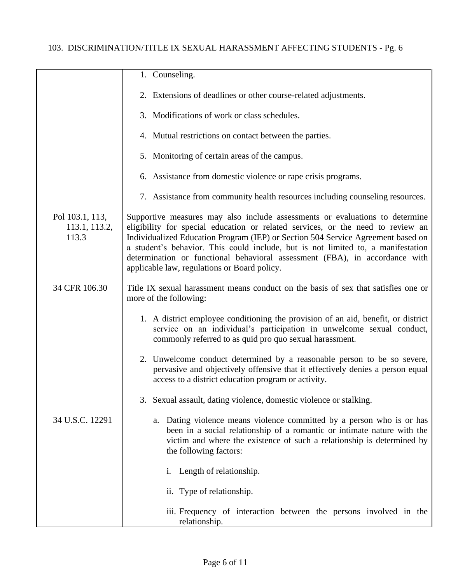|                                           | 1. Counseling.                                                                                                                                                                                                                                                                                                                                                                                                                                                         |
|-------------------------------------------|------------------------------------------------------------------------------------------------------------------------------------------------------------------------------------------------------------------------------------------------------------------------------------------------------------------------------------------------------------------------------------------------------------------------------------------------------------------------|
|                                           | 2. Extensions of deadlines or other course-related adjustments.                                                                                                                                                                                                                                                                                                                                                                                                        |
|                                           | 3. Modifications of work or class schedules.                                                                                                                                                                                                                                                                                                                                                                                                                           |
|                                           | 4. Mutual restrictions on contact between the parties.                                                                                                                                                                                                                                                                                                                                                                                                                 |
|                                           | 5. Monitoring of certain areas of the campus.                                                                                                                                                                                                                                                                                                                                                                                                                          |
|                                           | 6. Assistance from domestic violence or rape crisis programs.                                                                                                                                                                                                                                                                                                                                                                                                          |
|                                           | 7. Assistance from community health resources including counseling resources.                                                                                                                                                                                                                                                                                                                                                                                          |
| Pol 103.1, 113,<br>113.1, 113.2,<br>113.3 | Supportive measures may also include assessments or evaluations to determine<br>eligibility for special education or related services, or the need to review an<br>Individualized Education Program (IEP) or Section 504 Service Agreement based on<br>a student's behavior. This could include, but is not limited to, a manifestation<br>determination or functional behavioral assessment (FBA), in accordance with<br>applicable law, regulations or Board policy. |
| 34 CFR 106.30                             | Title IX sexual harassment means conduct on the basis of sex that satisfies one or<br>more of the following:                                                                                                                                                                                                                                                                                                                                                           |
|                                           | 1. A district employee conditioning the provision of an aid, benefit, or district<br>service on an individual's participation in unwelcome sexual conduct,<br>commonly referred to as quid pro quo sexual harassment.                                                                                                                                                                                                                                                  |
|                                           | 2. Unwelcome conduct determined by a reasonable person to be so severe,<br>pervasive and objectively offensive that it effectively denies a person equal<br>access to a district education program or activity.                                                                                                                                                                                                                                                        |
|                                           | 3. Sexual assault, dating violence, domestic violence or stalking.                                                                                                                                                                                                                                                                                                                                                                                                     |
| 34 U.S.C. 12291                           | Dating violence means violence committed by a person who is or has<br>a.<br>been in a social relationship of a romantic or intimate nature with the<br>victim and where the existence of such a relationship is determined by<br>the following factors:                                                                                                                                                                                                                |
|                                           | Length of relationship.<br>i.                                                                                                                                                                                                                                                                                                                                                                                                                                          |
|                                           | ii. Type of relationship.                                                                                                                                                                                                                                                                                                                                                                                                                                              |
|                                           | iii. Frequency of interaction between the persons involved in the<br>relationship.                                                                                                                                                                                                                                                                                                                                                                                     |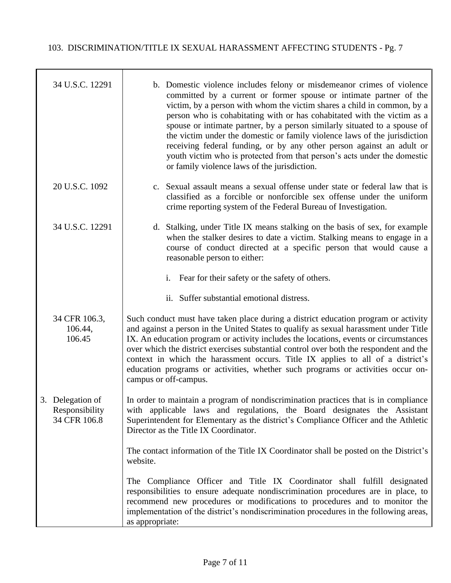| 34 U.S.C. 12291                                    | b. Domestic violence includes felony or misdemeanor crimes of violence<br>committed by a current or former spouse or intimate partner of the<br>victim, by a person with whom the victim shares a child in common, by a<br>person who is cohabitating with or has cohabitated with the victim as a<br>spouse or intimate partner, by a person similarly situated to a spouse of<br>the victim under the domestic or family violence laws of the jurisdiction<br>receiving federal funding, or by any other person against an adult or<br>youth victim who is protected from that person's acts under the domestic<br>or family violence laws of the jurisdiction. |
|----------------------------------------------------|-------------------------------------------------------------------------------------------------------------------------------------------------------------------------------------------------------------------------------------------------------------------------------------------------------------------------------------------------------------------------------------------------------------------------------------------------------------------------------------------------------------------------------------------------------------------------------------------------------------------------------------------------------------------|
| 20 U.S.C. 1092                                     | c. Sexual assault means a sexual offense under state or federal law that is<br>classified as a forcible or nonforcible sex offense under the uniform<br>crime reporting system of the Federal Bureau of Investigation.                                                                                                                                                                                                                                                                                                                                                                                                                                            |
| 34 U.S.C. 12291                                    | d. Stalking, under Title IX means stalking on the basis of sex, for example<br>when the stalker desires to date a victim. Stalking means to engage in a<br>course of conduct directed at a specific person that would cause a<br>reasonable person to either:                                                                                                                                                                                                                                                                                                                                                                                                     |
|                                                    | Fear for their safety or the safety of others.<br>i.                                                                                                                                                                                                                                                                                                                                                                                                                                                                                                                                                                                                              |
|                                                    | ii. Suffer substantial emotional distress.                                                                                                                                                                                                                                                                                                                                                                                                                                                                                                                                                                                                                        |
| 34 CFR 106.3,<br>106.44,<br>106.45                 | Such conduct must have taken place during a district education program or activity<br>and against a person in the United States to qualify as sexual harassment under Title<br>IX. An education program or activity includes the locations, events or circumstances<br>over which the district exercises substantial control over both the respondent and the<br>context in which the harassment occurs. Title IX applies to all of a district's<br>education programs or activities, whether such programs or activities occur on-<br>campus or off-campus.                                                                                                      |
| 3. Delegation of<br>Responsibility<br>34 CFR 106.8 | In order to maintain a program of nondiscrimination practices that is in compliance<br>with applicable laws and regulations, the Board designates the Assistant<br>Superintendent for Elementary as the district's Compliance Officer and the Athletic<br>Director as the Title IX Coordinator.                                                                                                                                                                                                                                                                                                                                                                   |
|                                                    | The contact information of the Title IX Coordinator shall be posted on the District's<br>website.                                                                                                                                                                                                                                                                                                                                                                                                                                                                                                                                                                 |
|                                                    | The Compliance Officer and Title IX Coordinator shall fulfill designated<br>responsibilities to ensure adequate nondiscrimination procedures are in place, to<br>recommend new procedures or modifications to procedures and to monitor the<br>implementation of the district's nondiscrimination procedures in the following areas,<br>as appropriate:                                                                                                                                                                                                                                                                                                           |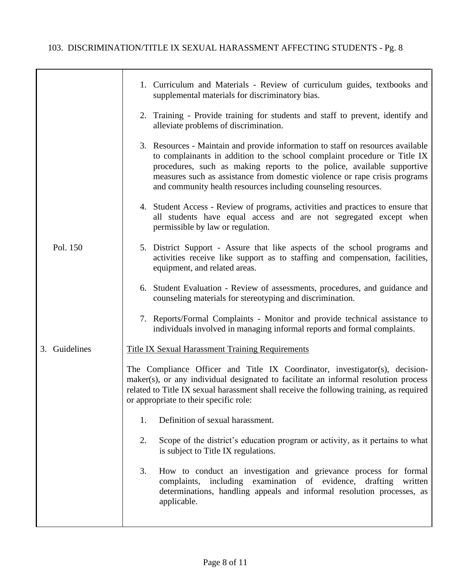|               | 1. Curriculum and Materials - Review of curriculum guides, textbooks and<br>supplemental materials for discriminatory bias.                                                                                                                                                                                                                                                            |
|---------------|----------------------------------------------------------------------------------------------------------------------------------------------------------------------------------------------------------------------------------------------------------------------------------------------------------------------------------------------------------------------------------------|
|               | 2. Training - Provide training for students and staff to prevent, identify and<br>alleviate problems of discrimination.                                                                                                                                                                                                                                                                |
|               | 3. Resources - Maintain and provide information to staff on resources available<br>to complainants in addition to the school complaint procedure or Title IX<br>procedures, such as making reports to the police, available supportive<br>measures such as assistance from domestic violence or rape crisis programs<br>and community health resources including counseling resources. |
|               | 4. Student Access - Review of programs, activities and practices to ensure that<br>all students have equal access and are not segregated except when<br>permissible by law or regulation.                                                                                                                                                                                              |
| Pol. 150      | 5. District Support - Assure that like aspects of the school programs and<br>activities receive like support as to staffing and compensation, facilities,<br>equipment, and related areas.                                                                                                                                                                                             |
|               | 6. Student Evaluation - Review of assessments, procedures, and guidance and<br>counseling materials for stereotyping and discrimination.                                                                                                                                                                                                                                               |
|               | 7. Reports/Formal Complaints - Monitor and provide technical assistance to<br>individuals involved in managing informal reports and formal complaints.                                                                                                                                                                                                                                 |
| 3. Guidelines | <b>Title IX Sexual Harassment Training Requirements</b>                                                                                                                                                                                                                                                                                                                                |
|               | The Compliance Officer and Title IX Coordinator, investigator(s), decision-<br>maker(s), or any individual designated to facilitate an informal resolution process<br>related to Title IX sexual harassment shall receive the following training, as required<br>or appropriate to their specific role:                                                                                |
|               | Definition of sexual harassment.<br>1.                                                                                                                                                                                                                                                                                                                                                 |
|               | 2.<br>Scope of the district's education program or activity, as it pertains to what<br>is subject to Title IX regulations.                                                                                                                                                                                                                                                             |
|               | 3.<br>How to conduct an investigation and grievance process for formal<br>complaints, including examination of evidence, drafting written<br>determinations, handling appeals and informal resolution processes, as<br>applicable.                                                                                                                                                     |
|               |                                                                                                                                                                                                                                                                                                                                                                                        |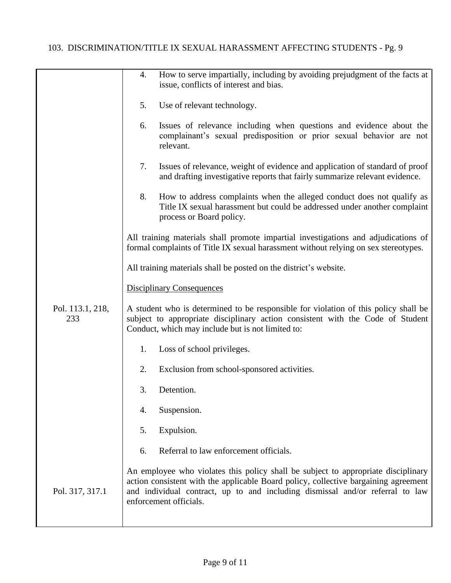|                         | 4. | How to serve impartially, including by avoiding prejudgment of the facts at<br>issue, conflicts of interest and bias.                                                                                                                                                               |
|-------------------------|----|-------------------------------------------------------------------------------------------------------------------------------------------------------------------------------------------------------------------------------------------------------------------------------------|
|                         | 5. | Use of relevant technology.                                                                                                                                                                                                                                                         |
|                         | 6. | Issues of relevance including when questions and evidence about the<br>complainant's sexual predisposition or prior sexual behavior are not<br>relevant.                                                                                                                            |
|                         | 7. | Issues of relevance, weight of evidence and application of standard of proof<br>and drafting investigative reports that fairly summarize relevant evidence.                                                                                                                         |
|                         | 8. | How to address complaints when the alleged conduct does not qualify as<br>Title IX sexual harassment but could be addressed under another complaint<br>process or Board policy.                                                                                                     |
|                         |    | All training materials shall promote impartial investigations and adjudications of<br>formal complaints of Title IX sexual harassment without relying on sex stereotypes.                                                                                                           |
|                         |    | All training materials shall be posted on the district's website.                                                                                                                                                                                                                   |
|                         |    | <b>Disciplinary Consequences</b>                                                                                                                                                                                                                                                    |
| Pol. 113.1, 218,<br>233 |    | A student who is determined to be responsible for violation of this policy shall be<br>subject to appropriate disciplinary action consistent with the Code of Student<br>Conduct, which may include but is not limited to:                                                          |
|                         | 1. | Loss of school privileges.                                                                                                                                                                                                                                                          |
|                         | 2. | Exclusion from school-sponsored activities.                                                                                                                                                                                                                                         |
|                         | 3. | Detention.                                                                                                                                                                                                                                                                          |
|                         | 4. | Suspension.                                                                                                                                                                                                                                                                         |
|                         | 5. | Expulsion.                                                                                                                                                                                                                                                                          |
|                         | 6. | Referral to law enforcement officials.                                                                                                                                                                                                                                              |
| Pol. 317, 317.1         |    | An employee who violates this policy shall be subject to appropriate disciplinary<br>action consistent with the applicable Board policy, collective bargaining agreement<br>and individual contract, up to and including dismissal and/or referral to law<br>enforcement officials. |
|                         |    |                                                                                                                                                                                                                                                                                     |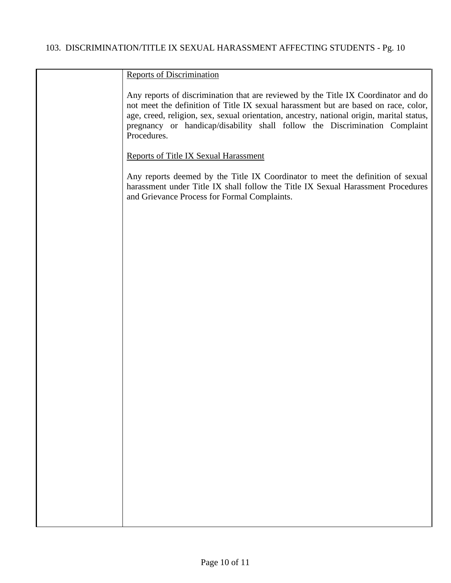| <b>Reports of Discrimination</b>                                                                                                                                                                                                                                                                                                                                    |
|---------------------------------------------------------------------------------------------------------------------------------------------------------------------------------------------------------------------------------------------------------------------------------------------------------------------------------------------------------------------|
| Any reports of discrimination that are reviewed by the Title IX Coordinator and do<br>not meet the definition of Title IX sexual harassment but are based on race, color,<br>age, creed, religion, sex, sexual orientation, ancestry, national origin, marital status,<br>pregnancy or handicap/disability shall follow the Discrimination Complaint<br>Procedures. |
| <b>Reports of Title IX Sexual Harassment</b>                                                                                                                                                                                                                                                                                                                        |
| Any reports deemed by the Title IX Coordinator to meet the definition of sexual<br>harassment under Title IX shall follow the Title IX Sexual Harassment Procedures<br>and Grievance Process for Formal Complaints.                                                                                                                                                 |
|                                                                                                                                                                                                                                                                                                                                                                     |
|                                                                                                                                                                                                                                                                                                                                                                     |
|                                                                                                                                                                                                                                                                                                                                                                     |
|                                                                                                                                                                                                                                                                                                                                                                     |
|                                                                                                                                                                                                                                                                                                                                                                     |
|                                                                                                                                                                                                                                                                                                                                                                     |
|                                                                                                                                                                                                                                                                                                                                                                     |
|                                                                                                                                                                                                                                                                                                                                                                     |
|                                                                                                                                                                                                                                                                                                                                                                     |
|                                                                                                                                                                                                                                                                                                                                                                     |
|                                                                                                                                                                                                                                                                                                                                                                     |
|                                                                                                                                                                                                                                                                                                                                                                     |
|                                                                                                                                                                                                                                                                                                                                                                     |
|                                                                                                                                                                                                                                                                                                                                                                     |
|                                                                                                                                                                                                                                                                                                                                                                     |
|                                                                                                                                                                                                                                                                                                                                                                     |